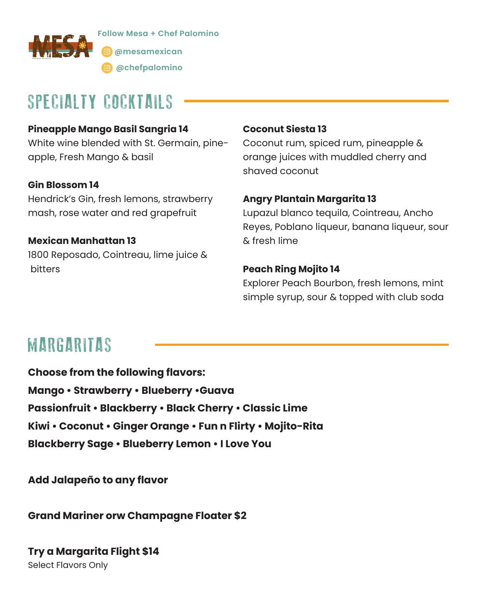

**Follow Mesa + Chef Palomino @mesamexican**

**@chefpalomino**

## SPECIALTY COCKTAILS

### **Pineapple Mango Basil Sangria 14**

White wine blended with St. Germain, pineapple, Fresh Mango & basil

### **Gin Blossom 14**

Hendrick's Gin, fresh lemons, strawberry mash, rose water and red grapefruit

**Mexican Manhattan 13** 1800 Reposado, Cointreau, lime juice & bitters

#### **Coconut Siesta 13**

Coconut rum, spiced rum, pineapple & orange juices with muddled cherry and shaved coconut

#### **Angry Plantain Margarita 13**

Lupazul blanco tequila, Cointreau, Ancho Reyes, Poblano liqueur, banana liqueur, sour & fresh lime

### **Peach Ring Mojito 14**

Explorer Peach Bourbon, fresh lemons, mint simple syrup, sour & topped with club soda

## MARGARITAS

**Choose from the following flavors: Mango • Strawberry • Blueberry •Guava Passionfruit • Blackberry • Black Cherry • Classic Lime Kiwi • Coconut • Ginger Orange • Fun n Flirty • Mojito-Rita Blackberry Sage • Blueberry Lemon • I Love You** 

**Add Jalapeño to any flavor** 

**Grand Mariner orw Champagne Floater \$2**

**Try a Margarita Flight \$14** Select Flavors Only